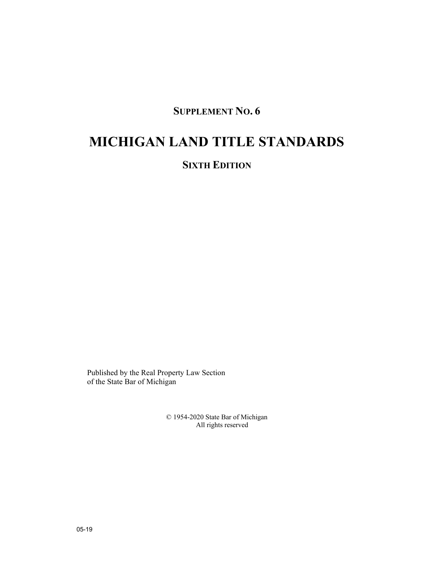## **SUPPLEMENT NO. 6**

# **MICHIGAN LAND TITLE STANDARDS**

## **SIXTH EDITION**

Published by the Real Property Law Section of the State Bar of Michigan

> © 1954-2020 State Bar of Michigan All rights reserved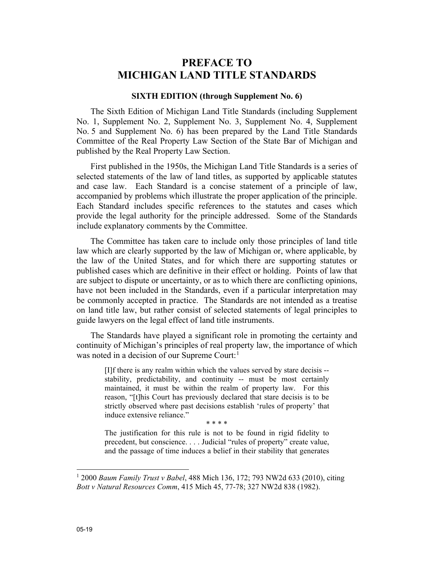## **PREFACE TO MICHIGAN LAND TITLE STANDARDS**

#### **SIXTH EDITION (through Supplement No. 6)**

The Sixth Edition of Michigan Land Title Standards (including Supplement No. 1, Supplement No. 2, Supplement No. 3, Supplement No. 4, Supplement No. 5 and Supplement No. 6) has been prepared by the Land Title Standards Committee of the Real Property Law Section of the State Bar of Michigan and published by the Real Property Law Section.

First published in the 1950s, the Michigan Land Title Standards is a series of selected statements of the law of land titles, as supported by applicable statutes and case law. Each Standard is a concise statement of a principle of law, accompanied by problems which illustrate the proper application of the principle. Each Standard includes specific references to the statutes and cases which provide the legal authority for the principle addressed. Some of the Standards include explanatory comments by the Committee.

The Committee has taken care to include only those principles of land title law which are clearly supported by the law of Michigan or, where applicable, by the law of the United States, and for which there are supporting statutes or published cases which are definitive in their effect or holding. Points of law that are subject to dispute or uncertainty, or as to which there are conflicting opinions, have not been included in the Standards, even if a particular interpretation may be commonly accepted in practice. The Standards are not intended as a treatise on land title law, but rather consist of selected statements of legal principles to guide lawyers on the legal effect of land title instruments.

The Standards have played a significant role in promoting the certainty and continuity of Michigan's principles of real property law, the importance of which was noted in a decision of our Supreme Court:<sup>1</sup>

[I]f there is any realm within which the values served by stare decisis - stability, predictability, and continuity -- must be most certainly maintained, it must be within the realm of property law. For this reason, "[t]his Court has previously declared that stare decisis is to be strictly observed where past decisions establish 'rules of property' that induce extensive reliance."

\* \* \* \*

The justification for this rule is not to be found in rigid fidelity to precedent, but conscience. . . . Judicial "rules of property" create value, and the passage of time induces a belief in their stability that generates

<sup>1</sup> 2000 *Baum Family Trust v Babel*, 488 Mich 136, 172; 793 NW2d 633 (2010), citing *Bott v Natural Resources Comm*, 415 Mich 45, 77-78; 327 NW2d 838 (1982).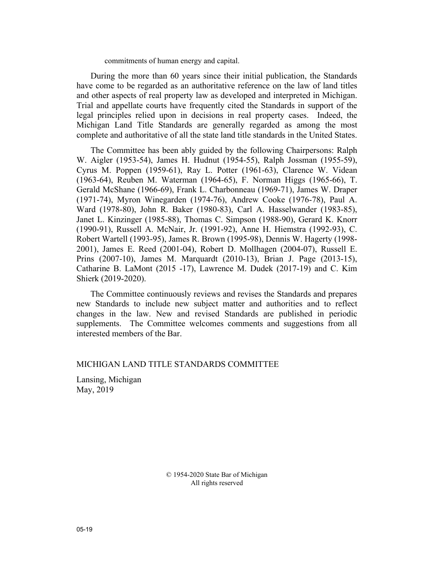commitments of human energy and capital.

During the more than 60 years since their initial publication, the Standards have come to be regarded as an authoritative reference on the law of land titles and other aspects of real property law as developed and interpreted in Michigan. Trial and appellate courts have frequently cited the Standards in support of the legal principles relied upon in decisions in real property cases. Indeed, the Michigan Land Title Standards are generally regarded as among the most complete and authoritative of all the state land title standards in the United States.

The Committee has been ably guided by the following Chairpersons: Ralph W. Aigler (1953-54), James H. Hudnut (1954-55), Ralph Jossman (1955-59), Cyrus M. Poppen (1959-61), Ray L. Potter (1961-63), Clarence W. Videan (1963-64), Reuben M. Waterman (1964-65), F. Norman Higgs (1965-66), T. Gerald McShane (1966-69), Frank L. Charbonneau (1969-71), James W. Draper (1971-74), Myron Winegarden (1974-76), Andrew Cooke (1976-78), Paul A. Ward (1978-80), John R. Baker (1980-83), Carl A. Hasselwander (1983-85), Janet L. Kinzinger (1985-88), Thomas C. Simpson (1988-90), Gerard K. Knorr (1990-91), Russell A. McNair, Jr. (1991-92), Anne H. Hiemstra (1992-93), C. Robert Wartell (1993-95), James R. Brown (1995-98), Dennis W. Hagerty (1998- 2001), James E. Reed (2001-04), Robert D. Mollhagen (2004-07), Russell E. Prins (2007-10), James M. Marquardt (2010-13), Brian J. Page (2013-15), Catharine B. LaMont (2015 -17), Lawrence M. Dudek (2017-19) and C. Kim Shierk (2019-2020).

The Committee continuously reviews and revises the Standards and prepares new Standards to include new subject matter and authorities and to reflect changes in the law. New and revised Standards are published in periodic supplements. The Committee welcomes comments and suggestions from all interested members of the Bar.

#### MICHIGAN LAND TITLE STANDARDS COMMITTEE

Lansing, Michigan May, 2019

> © 1954-2020 State Bar of Michigan All rights reserved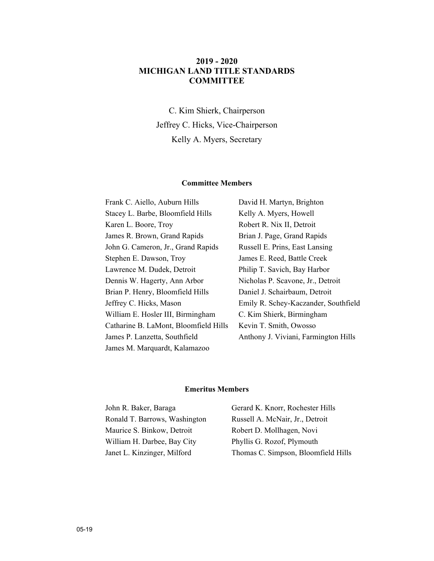#### **2019 - 2020 MICHIGAN LAND TITLE STANDARDS COMMITTEE**

C. Kim Shierk, Chairperson Jeffrey C. Hicks, Vice-Chairperson Kelly A. Myers, Secretary

#### **Committee Members**

| Frank C. Aiello, Auburn Hills         | David H. Martyn, Brighton            |
|---------------------------------------|--------------------------------------|
| Stacey L. Barbe, Bloomfield Hills     | Kelly A. Myers, Howell               |
| Karen L. Boore, Troy                  | Robert R. Nix II, Detroit            |
| James R. Brown, Grand Rapids          | Brian J. Page, Grand Rapids          |
| John G. Cameron, Jr., Grand Rapids    | Russell E. Prins, East Lansing       |
| Stephen E. Dawson, Troy               | James E. Reed, Battle Creek          |
| Lawrence M. Dudek, Detroit            | Philip T. Savich, Bay Harbor         |
| Dennis W. Hagerty, Ann Arbor          | Nicholas P. Scavone, Jr., Detroit    |
| Brian P. Henry, Bloomfield Hills      | Daniel J. Schairbaum, Detroit        |
| Jeffrey C. Hicks, Mason               | Emily R. Schey-Kaczander, Southfield |
| William E. Hosler III, Birmingham     | C. Kim Shierk, Birmingham            |
| Catharine B. LaMont, Bloomfield Hills | Kevin T. Smith, Owosso               |
| James P. Lanzetta, Southfield         | Anthony J. Viviani, Farmington Hills |
| James M. Marquardt, Kalamazoo         |                                      |

#### **Emeritus Members**

| John R. Baker, Baraga         | Gerard K. Knorr, Rochester Hills    |
|-------------------------------|-------------------------------------|
| Ronald T. Barrows, Washington | Russell A. McNair, Jr., Detroit     |
| Maurice S. Binkow, Detroit    | Robert D. Mollhagen, Novi           |
| William H. Darbee, Bay City   | Phyllis G. Rozof, Plymouth          |
| Janet L. Kinzinger, Milford   | Thomas C. Simpson, Bloomfield Hills |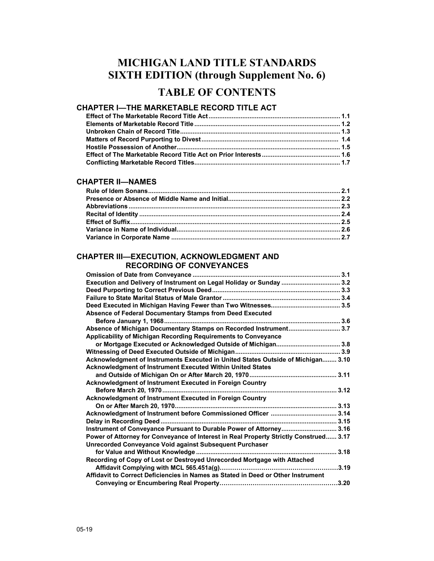## **MICHIGAN LAND TITLE STANDARDS SIXTH EDITION (through Supplement No. 6)**

## **TABLE OF CONTENTS**

### **CHAPTER I—THE MARKETABLE RECORD TITLE ACT**

#### **CHAPTER II—NAMES**

#### **CHAPTER III—EXECUTION, ACKNOWLEDGMENT AND RECORDING OF CONVEYANCES**

| Execution and Delivery of Instrument on Legal Holiday or Sunday  3.2                  |  |
|---------------------------------------------------------------------------------------|--|
|                                                                                       |  |
|                                                                                       |  |
|                                                                                       |  |
| Absence of Federal Documentary Stamps from Deed Executed                              |  |
|                                                                                       |  |
| Absence of Michigan Documentary Stamps on Recorded Instrument 3.7                     |  |
| Applicability of Michigan Recording Requirements to Conveyance                        |  |
|                                                                                       |  |
|                                                                                       |  |
| Acknowledgment of Instruments Executed in United States Outside of Michigan 3.10      |  |
| Acknowledgment of Instrument Executed Within United States                            |  |
|                                                                                       |  |
| <b>Acknowledgment of Instrument Executed in Foreign Country</b>                       |  |
|                                                                                       |  |
| Acknowledgment of Instrument Executed in Foreign Country                              |  |
|                                                                                       |  |
|                                                                                       |  |
|                                                                                       |  |
| Instrument of Conveyance Pursuant to Durable Power of Attorney 3.16                   |  |
| Power of Attorney for Conveyance of Interest in Real Property Strictly Construed 3.17 |  |
| Unrecorded Conveyance Void against Subsequent Purchaser                               |  |
|                                                                                       |  |
| Recording of Copy of Lost or Destroyed Unrecorded Mortgage with Attached              |  |
|                                                                                       |  |
| Affidavit to Correct Deficiencies in Names as Stated in Deed or Other Instrument      |  |
|                                                                                       |  |
|                                                                                       |  |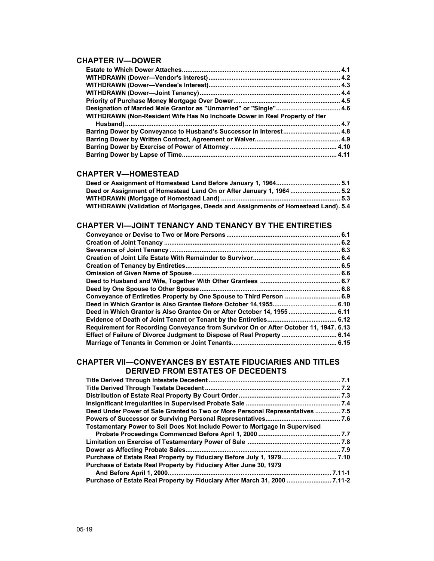#### **CHAPTER IV—DOWER**

| WITHDRAWN (Non-Resident Wife Has No Inchoate Dower in Real Property of Her |  |
|----------------------------------------------------------------------------|--|
|                                                                            |  |
| Barring Dower by Conveyance to Husband's Successor in Interest 4.8         |  |
|                                                                            |  |
|                                                                            |  |
|                                                                            |  |

#### **CHAPTER V—HOMESTEAD**

| Deed or Assignment of Homestead Land On or After January 1, 1964  5.2             |  |
|-----------------------------------------------------------------------------------|--|
|                                                                                   |  |
| WITHDRAWN (Validation of Mortgages, Deeds and Assignments of Homestead Land). 5.4 |  |

#### **CHAPTER Vl—JOINT TENANCY AND TENANCY BY THE ENTIRETIES**

| Conveyance of Entireties Property by One Spouse to Third Person  6.9                  |  |
|---------------------------------------------------------------------------------------|--|
|                                                                                       |  |
| Deed in Which Grantor is Also Grantee On or After October 14, 1955 6.11               |  |
|                                                                                       |  |
| Requirement for Recording Conveyance from Survivor On or After October 11, 1947. 6.13 |  |
| Effect of Failure of Divorce Judgment to Dispose of Real Property  6.14               |  |
|                                                                                       |  |

#### **CHAPTER Vll—CONVEYANCES BY ESTATE FIDUCIARIES AND TITLES DERIVED FROM ESTATES OF DECEDENTS**

| Deed Under Power of Sale Granted to Two or More Personal Representatives  7.5 |  |
|-------------------------------------------------------------------------------|--|
|                                                                               |  |
| Testamentary Power to Sell Does Not Include Power to Mortgage In Supervised   |  |
|                                                                               |  |
|                                                                               |  |
|                                                                               |  |
|                                                                               |  |
| Purchase of Estate Real Property by Fiduciary After June 30, 1979             |  |
|                                                                               |  |
| Purchase of Estate Real Property by Fiduciary After March 31, 2000  7.11-2    |  |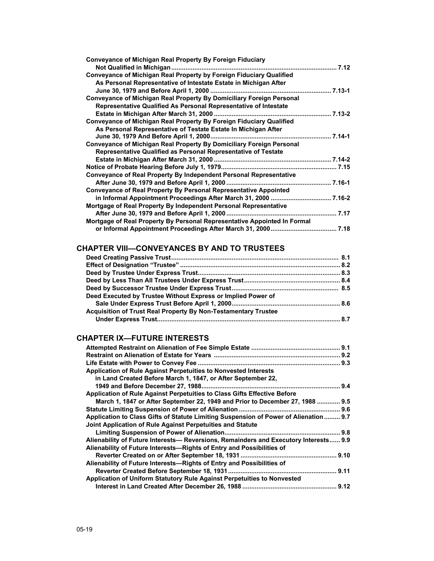| <b>Conveyance of Michigan Real Property By Foreign Fiduciary</b>           |  |
|----------------------------------------------------------------------------|--|
|                                                                            |  |
| <b>Conveyance of Michigan Real Property by Foreign Fiduciary Qualified</b> |  |
| As Personal Representative of Intestate Estate in Michigan After           |  |
|                                                                            |  |
| Conveyance of Michigan Real Property By Domiciliary Foreign Personal       |  |
| Representative Qualified As Personal Representative of Intestate           |  |
|                                                                            |  |
| Conveyance of Michigan Real Property By Foreign Fiduciary Qualified        |  |
| As Personal Representative of Testate Estate In Michigan After             |  |
|                                                                            |  |
| Conveyance of Michigan Real Property By Domiciliary Foreign Personal       |  |
| Representative Qualified as Personal Representative of Testate             |  |
|                                                                            |  |
|                                                                            |  |
| <b>Conveyance of Real Property By Independent Personal Representative</b>  |  |
|                                                                            |  |
| <b>Conveyance of Real Property By Personal Representative Appointed</b>    |  |
|                                                                            |  |
| Mortgage of Real Property By Independent Personal Representative           |  |
|                                                                            |  |
| Mortgage of Real Property By Personal Representative Appointed In Formal   |  |
|                                                                            |  |
|                                                                            |  |

### **CHAPTER VlIl—CONVEYANCES BY AND TO TRUSTEES**

| Deed Executed by Trustee Without Express or Implied Power of   |  |
|----------------------------------------------------------------|--|
|                                                                |  |
| Acquisition of Trust Real Property By Non-Testamentary Trustee |  |
|                                                                |  |
|                                                                |  |

## **CHAPTER IX—FUTURE INTERESTS**

| Application of Rule Against Perpetuities to Nonvested Interests                      |  |
|--------------------------------------------------------------------------------------|--|
| in Land Created Before March 1, 1847, or After September 22,                         |  |
|                                                                                      |  |
| Application of Rule Against Perpetuities to Class Gifts Effective Before             |  |
| March 1, 1847 or After September 22, 1949 and Prior to December 27, 1988  9.5        |  |
|                                                                                      |  |
| Application to Class Gifts of Statute Limiting Suspension of Power of Alienation 9.7 |  |
| Joint Application of Rule Against Perpetuities and Statute                           |  |
|                                                                                      |  |
| Alienability of Future Interests— Reversions, Remainders and Executory Interests 9.9 |  |
| Alienability of Future Interests-Rights of Entry and Possibilities of                |  |
|                                                                                      |  |
| Alienability of Future Interests—Rights of Entry and Possibilities of                |  |
|                                                                                      |  |
| Application of Uniform Statutory Rule Against Perpetuities to Nonvested              |  |
|                                                                                      |  |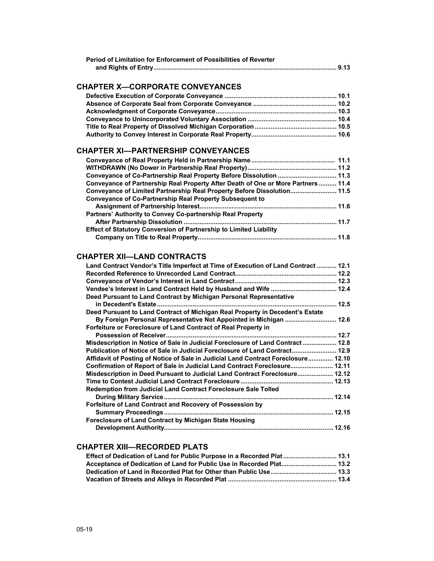| Period of Limitation for Enforcement of Possibilities of Reverter |  |
|-------------------------------------------------------------------|--|
|                                                                   |  |

### **CHAPTER X—CORPORATE CONVEYANCES**

#### **CHAPTER Xl—PARTNERSHIP CONVEYANCES**

| Conveyance of Partnership Real Property After Death of One or More Partners 11.4 |  |
|----------------------------------------------------------------------------------|--|
| Conveyance of Limited Partnership Real Property Before Dissolution 11.5          |  |
| Conveyance of Co-Partnership Real Property Subsequent to                         |  |
|                                                                                  |  |
| Partners' Authority to Convey Co-partnership Real Property                       |  |
|                                                                                  |  |
| <b>Effect of Statutory Conversion of Partnership to Limited Liability</b>        |  |
|                                                                                  |  |

## **CHAPTER Xll—LAND CONTRACTS**

| Land Contract Vendor's Title Imperfect at Time of Execution of Land Contract  12.1 |
|------------------------------------------------------------------------------------|
|                                                                                    |
|                                                                                    |
|                                                                                    |
| Deed Pursuant to Land Contract by Michigan Personal Representative                 |
|                                                                                    |
| Deed Pursuant to Land Contract of Michigan Real Property in Decedent's Estate      |
| By Foreign Personal Representative Not Appointed in Michigan  12.6                 |
| Forfeiture or Foreclosure of Land Contract of Real Property in                     |
|                                                                                    |
| Misdescription in Notice of Sale in Judicial Foreclosure of Land Contract  12.8    |
| Publication of Notice of Sale in Judicial Foreclosure of Land Contract 12.9        |
| Affidavit of Posting of Notice of Sale in Judicial Land Contract Foreclosure 12.10 |
| Confirmation of Report of Sale in Judicial Land Contract Foreclosure 12.11         |
| Misdescription in Deed Pursuant to Judicial Land Contract Foreclosure 12.12        |
|                                                                                    |
| Redemption from Judicial Land Contract Foreclosure Sale Tolled                     |
|                                                                                    |
| Forfeiture of Land Contract and Recovery of Possession by                          |
|                                                                                    |
| <b>Foreclosure of Land Contract by Michigan State Housing</b>                      |
|                                                                                    |

### **CHAPTER XIII—RECORDED PLATS**

| Effect of Dedication of Land for Public Purpose in a Recorded Plat  13.1 |  |
|--------------------------------------------------------------------------|--|
| Acceptance of Dedication of Land for Public Use in Recorded Plat 13.2    |  |
|                                                                          |  |
|                                                                          |  |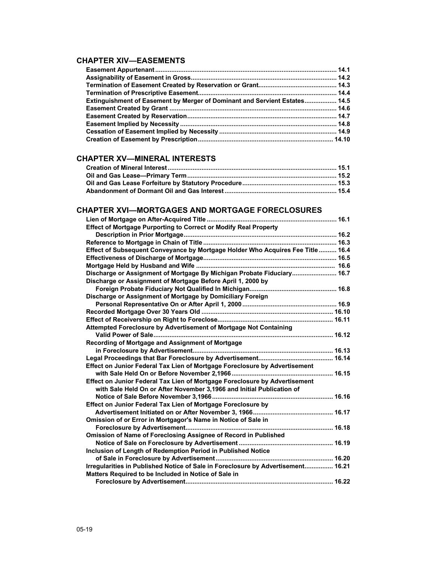### **CHAPTER XIV—EASEMENTS**

| <b>Extinguishment of Easement by Merger of Dominant and Servient Estates 14.5</b> |  |
|-----------------------------------------------------------------------------------|--|
|                                                                                   |  |
|                                                                                   |  |
|                                                                                   |  |
|                                                                                   |  |
|                                                                                   |  |

### **CHAPTER XV—MINERAL INTERESTS**

#### **CHAPTER XVI—MORTGAGES AND MORTGAGE FORECLOSURES**

| <b>Effect of Mortgage Purporting to Correct or Modify Real Property</b>          |  |
|----------------------------------------------------------------------------------|--|
|                                                                                  |  |
|                                                                                  |  |
| Effect of Subsequent Conveyance by Mortgage Holder Who Acquires Fee Title  16.4  |  |
|                                                                                  |  |
|                                                                                  |  |
| Discharge or Assignment of Mortgage By Michigan Probate Fiduciary 16.7           |  |
| Discharge or Assignment of Mortgage Before April 1, 2000 by                      |  |
|                                                                                  |  |
| Discharge or Assignment of Mortgage by Domiciliary Foreign                       |  |
|                                                                                  |  |
|                                                                                  |  |
|                                                                                  |  |
| Attempted Foreclosure by Advertisement of Mortgage Not Containing                |  |
|                                                                                  |  |
| Recording of Mortgage and Assignment of Mortgage                                 |  |
|                                                                                  |  |
|                                                                                  |  |
| Effect on Junior Federal Tax Lien of Mortgage Foreclosure by Advertisement       |  |
|                                                                                  |  |
| Effect on Junior Federal Tax Lien of Mortgage Foreclosure by Advertisement       |  |
| with Sale Held On or After November 3,1966 and Initial Publication of            |  |
|                                                                                  |  |
| Effect on Junior Federal Tax Lien of Mortgage Foreclosure by                     |  |
|                                                                                  |  |
| Omission of or Error in Mortgagor's Name in Notice of Sale in                    |  |
|                                                                                  |  |
| Omission of Name of Foreclosing Assignee of Record in Published                  |  |
|                                                                                  |  |
| Inclusion of Length of Redemption Period in Published Notice                     |  |
|                                                                                  |  |
| Irregularities in Published Notice of Sale in Foreclosure by Advertisement 16.21 |  |
| Matters Required to be Included in Notice of Sale in                             |  |
|                                                                                  |  |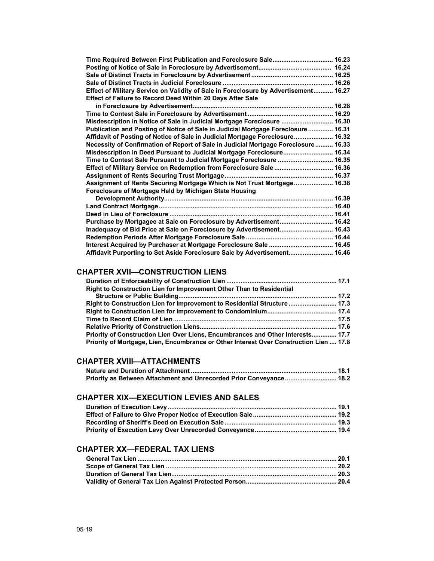| Time Required Between First Publication and Foreclosure Sale 16.23                   |  |
|--------------------------------------------------------------------------------------|--|
|                                                                                      |  |
|                                                                                      |  |
|                                                                                      |  |
| Effect of Military Service on Validity of Sale in Foreclosure by Advertisement 16.27 |  |
| Effect of Failure to Record Deed Within 20 Days After Sale                           |  |
|                                                                                      |  |
|                                                                                      |  |
| Misdescription in Notice of Sale in Judicial Mortgage Foreclosure  16.30             |  |
| Publication and Posting of Notice of Sale in Judicial Mortgage Foreclosure 16.31     |  |
| Affidavit of Posting of Notice of Sale in Judicial Mortgage Foreclosure 16.32        |  |
| Necessity of Confirmation of Report of Sale in Judicial Mortgage Foreclosure 16.33   |  |
| Misdescription in Deed Pursuant to Judicial Mortgage Foreclosure 16.34               |  |
| Time to Contest Sale Pursuant to Judicial Mortgage Foreclosure  16.35                |  |
| Effect of Military Service on Redemption from Foreclosure Sale  16.36                |  |
|                                                                                      |  |
| Assignment of Rents Securing Mortgage Which is Not Trust Mortgage 16.38              |  |
| Foreclosure of Mortgage Held by Michigan State Housing                               |  |
|                                                                                      |  |
|                                                                                      |  |
|                                                                                      |  |
| Purchase by Mortgagee at Sale on Foreclosure by Advertisement 16.42                  |  |
| Inadequacy of Bid Price at Sale on Foreclosure by Advertisement 16.43                |  |
|                                                                                      |  |
| Interest Acquired by Purchaser at Mortgage Foreclosure Sale  16.45                   |  |
| Affidavit Purporting to Set Aside Foreclosure Sale by Advertisement 16.46            |  |

#### **CHAPTER XVII—CONSTRUCTION LIENS**

| Right to Construction Lien for Improvement Other Than to Residential                   |  |
|----------------------------------------------------------------------------------------|--|
|                                                                                        |  |
| Right to Construction Lien for Improvement to Residential Structure 17.3               |  |
|                                                                                        |  |
|                                                                                        |  |
|                                                                                        |  |
| Priority of Construction Lien Over Liens, Encumbrances and Other Interests 17.7        |  |
| Priority of Mortgage, Lien, Encumbrance or Other Interest Over Construction Lien  17.8 |  |

### **CHAPTER XVIII—ATTACHMENTS**

| Priority as Between Attachment and Unrecorded Prior Conveyance 18.2 |  |
|---------------------------------------------------------------------|--|

#### **CHAPTER XIX—EXECUTION LEVIES AND SALES**

## **CHAPTER XX—FEDERAL TAX LIENS**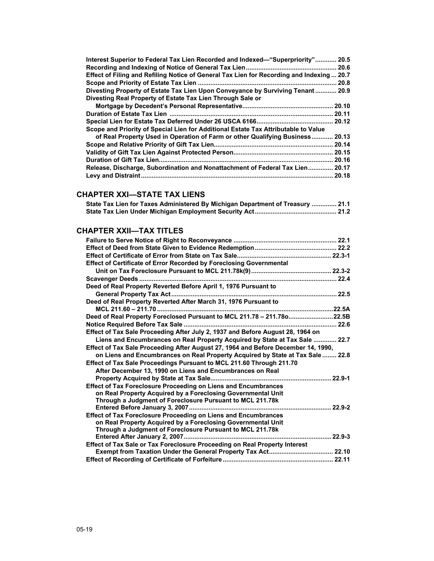| Interest Superior to Federal Tax Lien Recorded and Indexed—"Superpriority" 20.5           |
|-------------------------------------------------------------------------------------------|
| 20.6                                                                                      |
| Effect of Filing and Refiling Notice of General Tax Lien for Recording and Indexing  20.7 |
| 20.8                                                                                      |
| Divesting Property of Estate Tax Lien Upon Conveyance by Surviving Tenant<br>20.9         |
| Divesting Real Property of Estate Tax Lien Through Sale or                                |
| 20.10                                                                                     |
| 20.11                                                                                     |
| 20.12                                                                                     |
| Scope and Priority of Special Lien for Additional Estate Tax Attributable to Value        |
| of Real Property Used in Operation of Farm or other Qualifying Business<br>20.13          |
| 20.14                                                                                     |
| 20.15                                                                                     |
| 20.16                                                                                     |
| Release, Discharge, Subordination and Nonattachment of Federal Tax Lien<br>20.17          |
| 20.18                                                                                     |

## **CHAPTER XXI—STATE TAX LIENS**

|  | State Tax Lien for Taxes Administered By Michigan Department of Treasury  21.1 |  |  |
|--|--------------------------------------------------------------------------------|--|--|
|  |                                                                                |  |  |

#### **CHAPTER XXII—TAX TITLES**

| Effect of Certificate of Error Recorded by Foreclosing Governmental               |            |
|-----------------------------------------------------------------------------------|------------|
|                                                                                   |            |
|                                                                                   |            |
| Deed of Real Property Reverted Before April 1, 1976 Pursuant to                   |            |
|                                                                                   |            |
| Deed of Real Property Reverted After March 31, 1976 Pursuant to                   |            |
|                                                                                   |            |
| Deed of Real Property Foreclosed Pursuant to MCL 211.78 - 211.78o22.5B            |            |
|                                                                                   |            |
| Effect of Tax Sale Proceeding After July 2, 1937 and Before August 28, 1964 on    |            |
| Liens and Encumbrances on Real Property Acquired by State at Tax Sale  22.7       |            |
| Effect of Tax Sale Proceeding After August 27, 1964 and Before December 14, 1990, |            |
| on Liens and Encumbrances on Real Property Acquired by State at Tax Sale  22.8    |            |
| Effect of Tax Sale Proceedings Pursuant to MCL 211.60 Through 211.70              |            |
| After December 13, 1990 on Liens and Encumbrances on Real                         |            |
|                                                                                   |            |
| <b>Effect of Tax Foreclosure Proceeding on Liens and Encumbrances</b>             |            |
| on Real Property Acquired by a Foreclosing Governmental Unit                      |            |
| Through a Judgment of Foreclosure Pursuant to MCL 211.78k                         |            |
|                                                                                   |            |
| <b>Effect of Tax Foreclosure Proceeding on Liens and Encumbrances</b>             |            |
| on Real Property Acquired by a Foreclosing Governmental Unit                      |            |
| Through a Judgment of Foreclosure Pursuant to MCL 211.78k                         |            |
|                                                                                   | $22.9 - 3$ |
| <b>Effect of Tax Sale or Tax Foreclosure Proceeding on Real Property Interest</b> |            |
|                                                                                   |            |
|                                                                                   |            |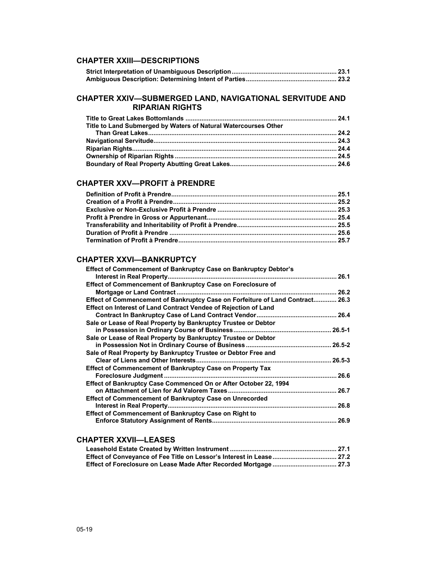#### **CHAPTER XXIII—DESCRIPTIONS**

| Strict Interpretation of Unambiguous Description……………………………………………………… 23.1 |  |
|----------------------------------------------------------------------------|--|
|                                                                            |  |

#### **CHAPTER XXIV—SUBMERGED LAND, NAVIGATIONAL SERVITUDE AND RIPARIAN RIGHTS**

| Title to Land Submerged by Waters of Natural Watercourses Other |  |
|-----------------------------------------------------------------|--|
|                                                                 |  |
|                                                                 |  |
|                                                                 |  |
|                                                                 |  |
|                                                                 |  |

#### **CHAPTER XXV—PROFIT à PRENDRE**

#### **CHAPTER XXVI—BANKRUPTCY**

| <b>Effect of Commencement of Bankruptcy Case on Bankruptcy Debtor's</b>       |            |
|-------------------------------------------------------------------------------|------------|
|                                                                               |            |
| Effect of Commencement of Bankruptcy Case on Foreclosure of                   |            |
|                                                                               |            |
| Effect of Commencement of Bankruptcy Case on Forfeiture of Land Contract 26.3 |            |
| Effect on Interest of Land Contract Vendee of Rejection of Land               |            |
|                                                                               |            |
| Sale or Lease of Real Property by Bankruptcy Trustee or Debtor                |            |
|                                                                               | $26.5 - 1$ |
| Sale or Lease of Real Property by Bankruptcy Trustee or Debtor                |            |
|                                                                               |            |
| Sale of Real Property by Bankruptcy Trustee or Debtor Free and                |            |
|                                                                               |            |
| <b>Effect of Commencement of Bankruptcy Case on Property Tax</b>              |            |
|                                                                               |            |
| Effect of Bankruptcy Case Commenced On or After October 22, 1994              |            |
|                                                                               | .26.7      |
| <b>Effect of Commencement of Bankruptcy Case on Unrecorded</b>                |            |
|                                                                               | . 26.8     |
| <b>Effect of Commencement of Bankruptcy Case on Right to</b>                  |            |
|                                                                               |            |
|                                                                               |            |

#### **CHAPTER XXVII—LEASES**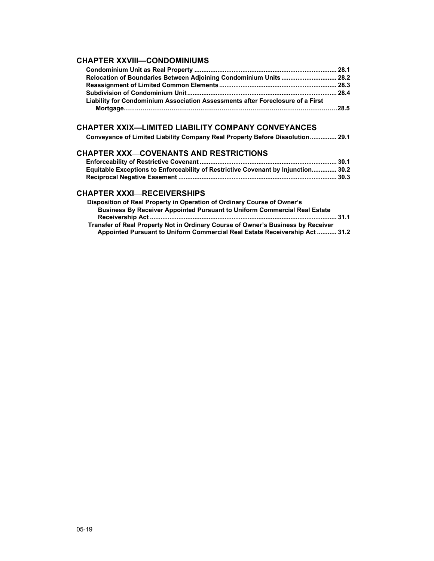#### **CHAPTER XXVIII—CONDOMINIUMS**

| Relocation of Boundaries Between Adjoining Condominium Units  28.2             |  |
|--------------------------------------------------------------------------------|--|
|                                                                                |  |
|                                                                                |  |
| Liability for Condominium Association Assessments after Foreclosure of a First |  |
|                                                                                |  |

### **CHAPTER XXIX—LIMITED LIABILITY COMPANY CONVEYANCES**

### **CHAPTER XXX**—**COVENANTS AND RESTRICTIONS**

| Equitable Exceptions to Enforceability of Restrictive Covenant by Injunction 30.2 |  |
|-----------------------------------------------------------------------------------|--|
|                                                                                   |  |

#### **CHAPTER XXXI**—**RECEIVERSHIPS**

| Disposition of Real Property in Operation of Ordinary Course of Owner's          |  |
|----------------------------------------------------------------------------------|--|
| <b>Business By Receiver Appointed Pursuant to Uniform Commercial Real Estate</b> |  |
|                                                                                  |  |
| Transfer of Real Property Not in Ordinary Course of Owner's Business by Receiver |  |
| Appointed Pursuant to Uniform Commercial Real Estate Receivership Act  31.2      |  |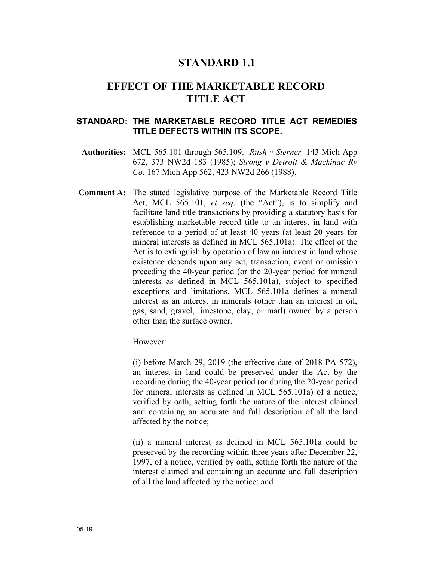## **STANDARD 1.1**

## **EFFECT OF THE MARKETABLE RECORD TITLE ACT**

### **STANDARD: THE MARKETABLE RECORD TITLE ACT REMEDIES TITLE DEFECTS WITHIN ITS SCOPE.**

- **Authorities:** MCL 565.101 through 565.109. *Rush v Sterner,* 143 Mich App 672, 373 NW2d 183 (1985); *Strong v Detroit & Mackinac Ry Co,* 167 Mich App 562, 423 NW2d 266 (1988).
- **Comment A:** The stated legislative purpose of the Marketable Record Title Act, MCL 565.101, *et seq*. (the "Act"), is to simplify and facilitate land title transactions by providing a statutory basis for establishing marketable record title to an interest in land with reference to a period of at least 40 years (at least 20 years for mineral interests as defined in MCL 565.101a). The effect of the Act is to extinguish by operation of law an interest in land whose existence depends upon any act, transaction, event or omission preceding the 40-year period (or the 20-year period for mineral interests as defined in MCL 565.101a), subject to specified exceptions and limitations. MCL 565.101a defines a mineral interest as an interest in minerals (other than an interest in oil, gas, sand, gravel, limestone, clay, or marl) owned by a person other than the surface owner.

However:

(i) before March 29, 2019 (the effective date of 2018 PA 572), an interest in land could be preserved under the Act by the recording during the 40-year period (or during the 20-year period for mineral interests as defined in MCL 565.101a) of a notice, verified by oath, setting forth the nature of the interest claimed and containing an accurate and full description of all the land affected by the notice;

(ii) a mineral interest as defined in MCL 565.101a could be preserved by the recording within three years after December 22, 1997, of a notice, verified by oath, setting forth the nature of the interest claimed and containing an accurate and full description of all the land affected by the notice; and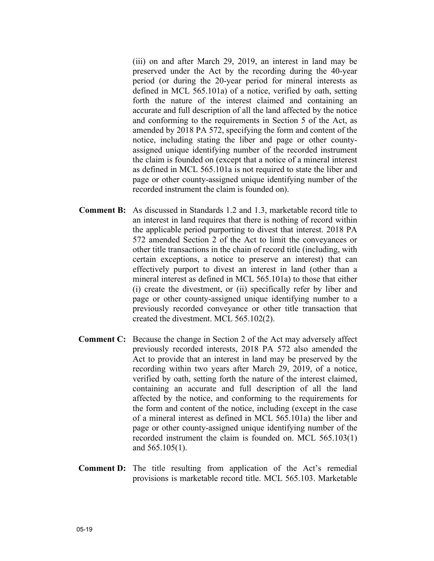(iii) on and after March 29, 2019, an interest in land may be preserved under the Act by the recording during the 40-year period (or during the 20-year period for mineral interests as defined in MCL 565.101a) of a notice, verified by oath, setting forth the nature of the interest claimed and containing an accurate and full description of all the land affected by the notice and conforming to the requirements in Section 5 of the Act, as amended by 2018 PA 572, specifying the form and content of the notice, including stating the liber and page or other countyassigned unique identifying number of the recorded instrument the claim is founded on (except that a notice of a mineral interest as defined in MCL 565.101a is not required to state the liber and page or other county-assigned unique identifying number of the recorded instrument the claim is founded on).

- **Comment B:** As discussed in Standards 1.2 and 1.3, marketable record title to an interest in land requires that there is nothing of record within the applicable period purporting to divest that interest. 2018 PA 572 amended Section 2 of the Act to limit the conveyances or other title transactions in the chain of record title (including, with certain exceptions, a notice to preserve an interest) that can effectively purport to divest an interest in land (other than a mineral interest as defined in MCL 565.101a) to those that either (i) create the divestment, or (ii) specifically refer by liber and page or other county-assigned unique identifying number to a previously recorded conveyance or other title transaction that created the divestment. MCL 565.102(2).
- **Comment C:** Because the change in Section 2 of the Act may adversely affect previously recorded interests, 2018 PA 572 also amended the Act to provide that an interest in land may be preserved by the recording within two years after March 29, 2019, of a notice, verified by oath, setting forth the nature of the interest claimed, containing an accurate and full description of all the land affected by the notice, and conforming to the requirements for the form and content of the notice, including (except in the case of a mineral interest as defined in MCL 565.101a) the liber and page or other county-assigned unique identifying number of the recorded instrument the claim is founded on. MCL 565.103(1) and 565.105(1).
- **Comment D:** The title resulting from application of the Act's remedial provisions is marketable record title. MCL 565.103. Marketable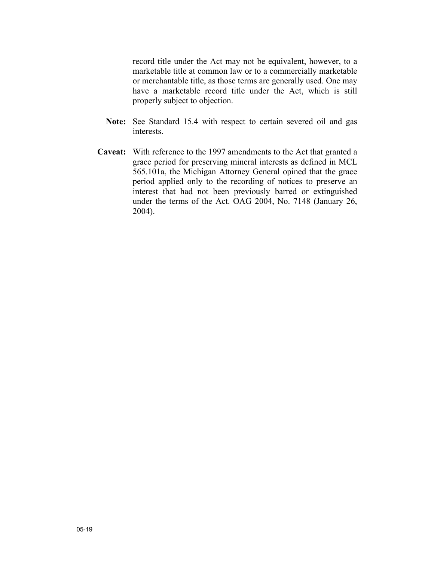record title under the Act may not be equivalent, however, to a marketable title at common law or to a commercially marketable or merchantable title, as those terms are generally used. One may have a marketable record title under the Act, which is still properly subject to objection.

- **Note:** See Standard 15.4 with respect to certain severed oil and gas interests.
- **Caveat:** With reference to the 1997 amendments to the Act that granted a grace period for preserving mineral interests as defined in MCL 565.101a, the Michigan Attorney General opined that the grace period applied only to the recording of notices to preserve an interest that had not been previously barred or extinguished under the terms of the Act. OAG 2004, No. 7148 (January 26, 2004).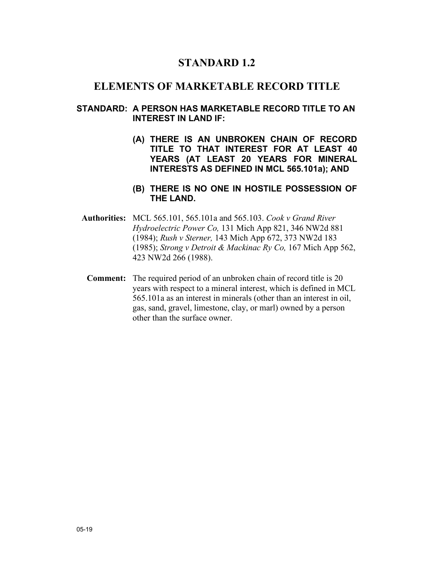## **STANDARD 1.2**

## **ELEMENTS OF MARKETABLE RECORD TITLE**

### **STANDARD: A PERSON HAS MARKETABLE RECORD TITLE TO AN INTEREST IN LAND IF:**

**(A) THERE IS AN UNBROKEN CHAIN OF RECORD TITLE TO THAT INTEREST FOR AT LEAST 40 YEARS (AT LEAST 20 YEARS FOR MINERAL INTERESTS AS DEFINED IN MCL 565.101a); AND** 

### **(B) THERE IS NO ONE IN HOSTILE POSSESSION OF THE LAND.**

- **Authorities:** MCL 565.101, 565.101a and 565.103. *Cook v Grand River Hydroelectric Power Co,* 131 Mich App 821, 346 NW2d 881 (1984); *Rush v Sterner,* 143 Mich App 672, 373 NW2d 183 (1985); *Strong v Detroit & Mackinac Ry Co,* 167 Mich App 562, 423 NW2d 266 (1988).
	- **Comment:** The required period of an unbroken chain of record title is 20 years with respect to a mineral interest, which is defined in MCL 565.101a as an interest in minerals (other than an interest in oil, gas, sand, gravel, limestone, clay, or marl) owned by a person other than the surface owner.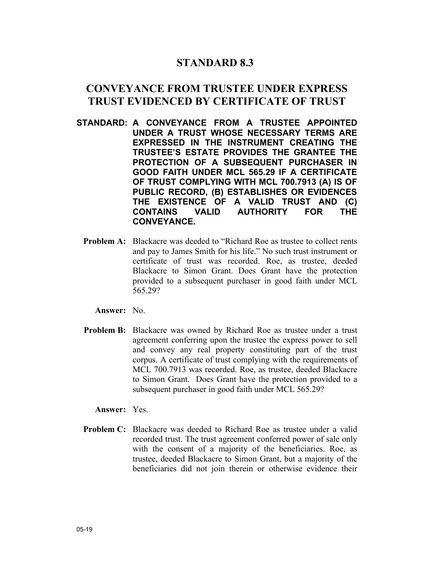## **STANDARD 8.3**

## **CONVEYANCE FROM TRUSTEE UNDER EXPRESS TRUST EVIDENCED BY CERTIFICATE OF TRUST**

- **STANDARD: A CONVEYANCE FROM A TRUSTEE APPOINTED UNDER A TRUST WHOSE NECESSARY TERMS ARE EXPRESSED IN THE INSTRUMENT CREATING THE TRUSTEE'S ESTATE PROVIDES THE GRANTEE THE PROTECTION OF A SUBSEQUENT PURCHASER IN GOOD FAITH UNDER MCL 565.29 IF A CERTIFICATE OF TRUST COMPLYING WITH MCL 700.7913 (A) IS OF PUBLIC RECORD, (B) ESTABLISHES OR EVIDENCES THE EXISTENCE OF A VALID TRUST AND (C) CONTAINS VALID AUTHORITY FOR THE CONVEYANCE.**
	- **Problem A:** Blackacre was deeded to "Richard Roe as trustee to collect rents" and pay to James Smith for his life." No such trust instrument or certificate of trust was recorded. Roe, as trustee, deeded Blackacre to Simon Grant. Does Grant have the protection provided to a subsequent purchaser in good faith under MCL 565.29?

**Answer:** No.

**Problem B:** Blackacre was owned by Richard Roe as trustee under a trust agreement conferring upon the trustee the express power to sell and convey any real property constituting part of the trust corpus. A certificate of trust complying with the requirements of MCL 700.7913 was recorded. Roe, as trustee, deeded Blackacre to Simon Grant. Does Grant have the protection provided to a subsequent purchaser in good faith under MCL 565.29?

#### **Answer:** Yes.

**Problem C:** Blackacre was deeded to Richard Roe as trustee under a valid recorded trust. The trust agreement conferred power of sale only with the consent of a majority of the beneficiaries. Roe, as trustee, deeded Blackacre to Simon Grant, but a majority of the beneficiaries did not join therein or otherwise evidence their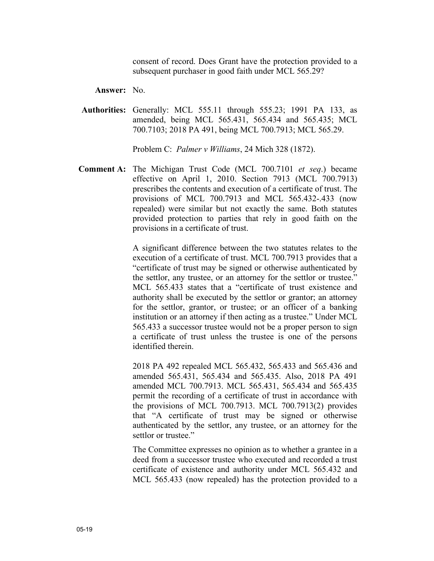consent of record. Does Grant have the protection provided to a subsequent purchaser in good faith under MCL 565.29?

**Answer:** No.

**Authorities:** Generally: MCL 555.11 through 555.23; 1991 PA 133, as amended, being MCL 565.431, 565.434 and 565.435; MCL 700.7103; 2018 PA 491, being MCL 700.7913; MCL 565.29.

Problem C: *Palmer v Williams*, 24 Mich 328 (1872).

**Comment A:** The Michigan Trust Code (MCL 700.7101 *et seq*.) became effective on April 1, 2010. Section 7913 (MCL 700.7913) prescribes the contents and execution of a certificate of trust. The provisions of MCL 700.7913 and MCL 565.432-.433 (now repealed) were similar but not exactly the same. Both statutes provided protection to parties that rely in good faith on the provisions in a certificate of trust.

> A significant difference between the two statutes relates to the execution of a certificate of trust. MCL 700.7913 provides that a "certificate of trust may be signed or otherwise authenticated by the settlor, any trustee, or an attorney for the settlor or trustee." MCL 565.433 states that a "certificate of trust existence and authority shall be executed by the settlor or grantor; an attorney for the settlor, grantor, or trustee; or an officer of a banking institution or an attorney if then acting as a trustee." Under MCL 565.433 a successor trustee would not be a proper person to sign a certificate of trust unless the trustee is one of the persons identified therein.

> 2018 PA 492 repealed MCL 565.432, 565.433 and 565.436 and amended 565.431, 565.434 and 565.435. Also, 2018 PA 491 amended MCL 700.7913. MCL 565.431, 565.434 and 565.435 permit the recording of a certificate of trust in accordance with the provisions of MCL 700.7913. MCL 700.7913(2) provides that "A certificate of trust may be signed or otherwise authenticated by the settlor, any trustee, or an attorney for the settlor or trustee."

> The Committee expresses no opinion as to whether a grantee in a deed from a successor trustee who executed and recorded a trust certificate of existence and authority under MCL 565.432 and MCL 565.433 (now repealed) has the protection provided to a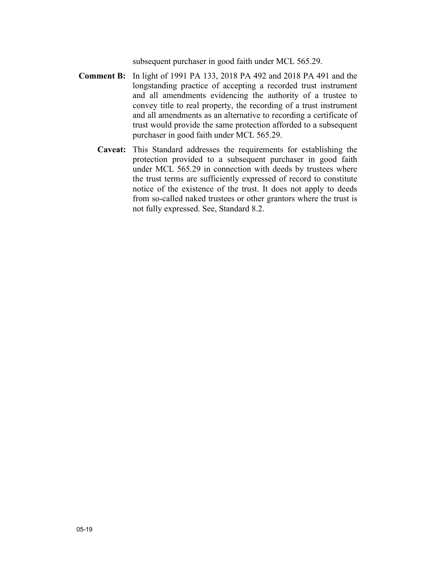subsequent purchaser in good faith under MCL 565.29.

- **Comment B:** In light of 1991 PA 133, 2018 PA 492 and 2018 PA 491 and the longstanding practice of accepting a recorded trust instrument and all amendments evidencing the authority of a trustee to convey title to real property, the recording of a trust instrument and all amendments as an alternative to recording a certificate of trust would provide the same protection afforded to a subsequent purchaser in good faith under MCL 565.29.
	- **Caveat:** This Standard addresses the requirements for establishing the protection provided to a subsequent purchaser in good faith under MCL 565.29 in connection with deeds by trustees where the trust terms are sufficiently expressed of record to constitute notice of the existence of the trust. It does not apply to deeds from so-called naked trustees or other grantors where the trust is not fully expressed. See, Standard 8.2.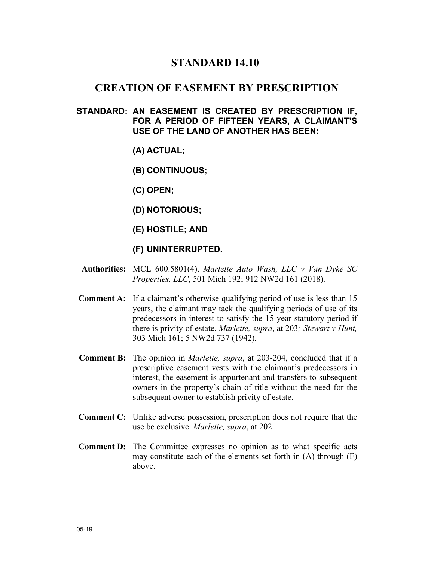## **STANDARD 14.10**

### **CREATION OF EASEMENT BY PRESCRIPTION**

### **STANDARD: AN EASEMENT IS CREATED BY PRESCRIPTION IF, FOR A PERIOD OF FIFTEEN YEARS, A CLAIMANT'S USE OF THE LAND OF ANOTHER HAS BEEN:**

- **(A) ACTUAL;**
- **(B) CONTINUOUS;**
- **(C) OPEN;**
- **(D) NOTORIOUS;**
- **(E) HOSTILE; AND**
- **(F) UNINTERRUPTED.**
- **Authorities:** MCL 600.5801(4). *Marlette Auto Wash, LLC v Van Dyke SC Properties, LLC*, 501 Mich 192; 912 NW2d 161 (2018).
- **Comment A:** If a claimant's otherwise qualifying period of use is less than 15 years, the claimant may tack the qualifying periods of use of its predecessors in interest to satisfy the 15-year statutory period if there is privity of estate. *Marlette, supra*, at 203*; Stewart v Hunt,*  303 Mich 161; 5 NW2d 737 (1942)*.*
- **Comment B:** The opinion in *Marlette, supra*, at 203-204, concluded that if a prescriptive easement vests with the claimant's predecessors in interest, the easement is appurtenant and transfers to subsequent owners in the property's chain of title without the need for the subsequent owner to establish privity of estate.
- **Comment C:** Unlike adverse possession, prescription does not require that the use be exclusive. *Marlette, supra*, at 202.
- **Comment D:** The Committee expresses no opinion as to what specific acts may constitute each of the elements set forth in (A) through (F) above.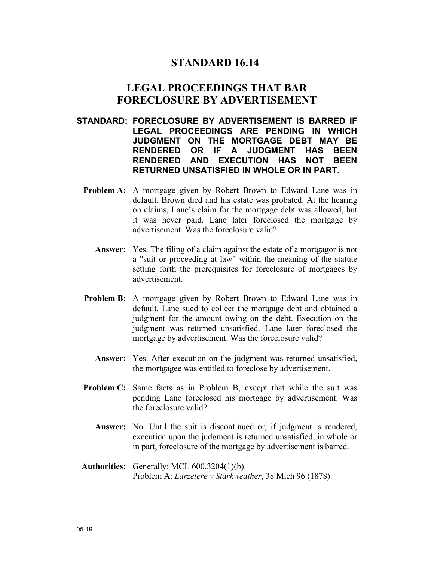## **STANDARD 16.14**

## **LEGAL PROCEEDINGS THAT BAR FORECLOSURE BY ADVERTISEMENT**

- **STANDARD: FORECLOSURE BY ADVERTISEMENT IS BARRED IF LEGAL PROCEEDINGS ARE PENDING IN WHICH JUDGMENT ON THE MORTGAGE DEBT MAY BE RENDERED OR IF A JUDGMENT HAS BEEN RENDERED AND EXECUTION HAS NOT BEEN RETURNED UNSATISFIED IN WHOLE OR IN PART.**
	- **Problem A:** A mortgage given by Robert Brown to Edward Lane was in default. Brown died and his estate was probated. At the hearing on claims, Lane's claim for the mortgage debt was allowed, but it was never paid. Lane later foreclosed the mortgage by advertisement. Was the foreclosure valid?
		- **Answer:** Yes. The filing of a claim against the estate of a mortgagor is not a "suit or proceeding at law" within the meaning of the statute setting forth the prerequisites for foreclosure of mortgages by advertisement.
	- **Problem B:** A mortgage given by Robert Brown to Edward Lane was in default. Lane sued to collect the mortgage debt and obtained a judgment for the amount owing on the debt. Execution on the judgment was returned unsatisfied. Lane later foreclosed the mortgage by advertisement. Was the foreclosure valid?
		- **Answer:** Yes. After execution on the judgment was returned unsatisfied, the mortgagee was entitled to foreclose by advertisement.
	- **Problem C:** Same facts as in Problem B, except that while the suit was pending Lane foreclosed his mortgage by advertisement. Was the foreclosure valid?
		- **Answer:** No. Until the suit is discontinued or, if judgment is rendered, execution upon the judgment is returned unsatisfied, in whole or in part, foreclosure of the mortgage by advertisement is barred.
- **Authorities:** Generally: MCL 600.3204(1)(b). Problem A: *Larzelere v Starkweather*, 38 Mich 96 (1878).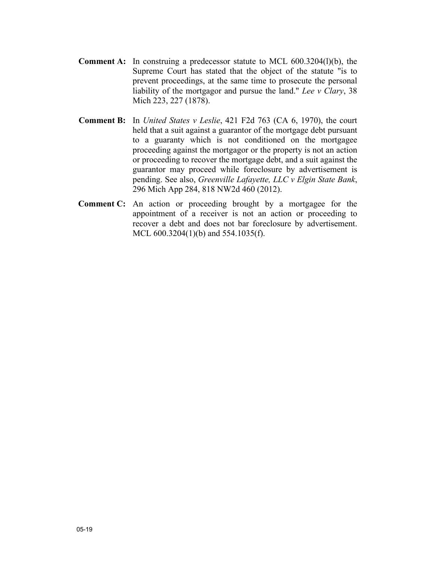- **Comment A:** In construing a predecessor statute to MCL 600.3204(l)(b), the Supreme Court has stated that the object of the statute "is to prevent proceedings, at the same time to prosecute the personal liability of the mortgagor and pursue the land." *Lee v Clary*, 38 Mich 223, 227 (1878).
- **Comment B:** In *United States v Leslie*, 421 F2d 763 (CA 6, 1970), the court held that a suit against a guarantor of the mortgage debt pursuant to a guaranty which is not conditioned on the mortgagee proceeding against the mortgagor or the property is not an action or proceeding to recover the mortgage debt, and a suit against the guarantor may proceed while foreclosure by advertisement is pending. See also, *Greenville Lafayette, LLC v Elgin State Bank*, 296 Mich App 284, 818 NW2d 460 (2012).
- **Comment C:** An action or proceeding brought by a mortgagee for the appointment of a receiver is not an action or proceeding to recover a debt and does not bar foreclosure by advertisement. MCL 600.3204(1)(b) and 554.1035(f).